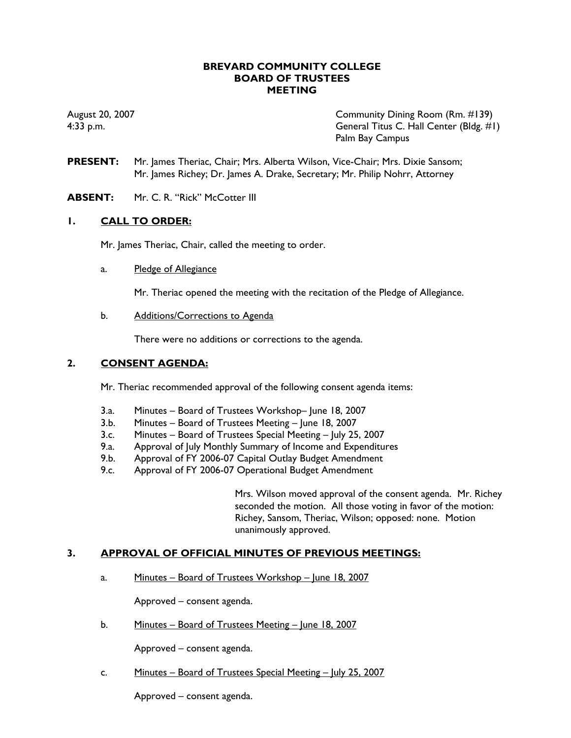## **BREVARD COMMUNITY COLLEGE BOARD OF TRUSTEES MEETING**

August 20, 2007 Community Dining Room (Rm. #139) 4:33 p.m. General Titus C. Hall Center (Bldg. #1) Palm Bay Campus

- **PRESENT:** Mr. James Theriac, Chair; Mrs. Alberta Wilson, Vice-Chair; Mrs. Dixie Sansom; Mr. James Richey; Dr. James A. Drake, Secretary; Mr. Philip Nohrr, Attorney
- **ABSENT:** Mr. C. R. "Rick" McCotter III

# **1. CALL TO ORDER:**

Mr. James Theriac, Chair, called the meeting to order.

a. Pledge of Allegiance

Mr. Theriac opened the meeting with the recitation of the Pledge of Allegiance.

b. Additions/Corrections to Agenda

There were no additions or corrections to the agenda.

## **2. CONSENT AGENDA:**

Mr. Theriac recommended approval of the following consent agenda items:

- 3.a. Minutes Board of Trustees Workshop– June 18, 2007
- 3.b. Minutes Board of Trustees Meeting June 18, 2007
- 3.c. Minutes Board of Trustees Special Meeting July 25, 2007
- 9.a. Approval of July Monthly Summary of Income and Expenditures
- 9.b. Approval of FY 2006-07 Capital Outlay Budget Amendment
- 9.c. Approval of FY 2006-07 Operational Budget Amendment

Mrs. Wilson moved approval of the consent agenda. Mr. Richey seconded the motion. All those voting in favor of the motion: Richey, Sansom, Theriac, Wilson; opposed: none. Motion unanimously approved.

## **3. APPROVAL OF OFFICIAL MINUTES OF PREVIOUS MEETINGS:**

a. Minutes – Board of Trustees Workshop – June 18, 2007

Approved – consent agenda.

b. Minutes – Board of Trustees Meeting – June 18, 2007

Approved – consent agenda.

c. Minutes – Board of Trustees Special Meeting – July 25, 2007

Approved – consent agenda.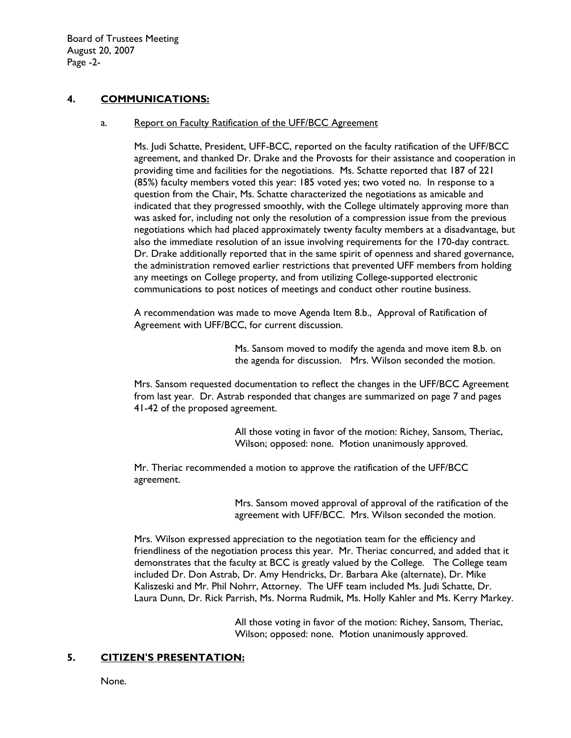Board of Trustees Meeting August 20, 2007 Page -2-

# **4. COMMUNICATIONS:**

#### a. Report on Faculty Ratification of the UFF/BCC Agreement

Ms. Judi Schatte, President, UFF-BCC, reported on the faculty ratification of the UFF/BCC agreement, and thanked Dr. Drake and the Provosts for their assistance and cooperation in providing time and facilities for the negotiations. Ms. Schatte reported that 187 of 221 (85%) faculty members voted this year: 185 voted yes; two voted no. In response to a question from the Chair, Ms. Schatte characterized the negotiations as amicable and indicated that they progressed smoothly, with the College ultimately approving more than was asked for, including not only the resolution of a compression issue from the previous negotiations which had placed approximately twenty faculty members at a disadvantage, but also the immediate resolution of an issue involving requirements for the 170-day contract. Dr. Drake additionally reported that in the same spirit of openness and shared governance, the administration removed earlier restrictions that prevented UFF members from holding any meetings on College property, and from utilizing College-supported electronic communications to post notices of meetings and conduct other routine business.

A recommendation was made to move Agenda Item 8.b., Approval of Ratification of Agreement with UFF/BCC, for current discussion.

> Ms. Sansom moved to modify the agenda and move item 8.b. on the agenda for discussion. Mrs. Wilson seconded the motion.

Mrs. Sansom requested documentation to reflect the changes in the UFF/BCC Agreement from last year. Dr. Astrab responded that changes are summarized on page 7 and pages 41-42 of the proposed agreement.

> All those voting in favor of the motion: Richey, Sansom, Theriac, Wilson; opposed: none. Motion unanimously approved.

Mr. Theriac recommended a motion to approve the ratification of the UFF/BCC agreement.

> Mrs. Sansom moved approval of approval of the ratification of the agreement with UFF/BCC. Mrs. Wilson seconded the motion.

Mrs. Wilson expressed appreciation to the negotiation team for the efficiency and friendliness of the negotiation process this year. Mr. Theriac concurred, and added that it demonstrates that the faculty at BCC is greatly valued by the College. The College team included Dr. Don Astrab, Dr. Amy Hendricks, Dr. Barbara Ake (alternate), Dr. Mike Kaliszeski and Mr. Phil Nohrr, Attorney. The UFF team included Ms. Judi Schatte, Dr. Laura Dunn, Dr. Rick Parrish, Ms. Norma Rudmik, Ms. Holly Kahler and Ms. Kerry Markey.

> All those voting in favor of the motion: Richey, Sansom, Theriac, Wilson; opposed: none. Motion unanimously approved.

## **5. CITIZEN'S PRESENTATION:**

None.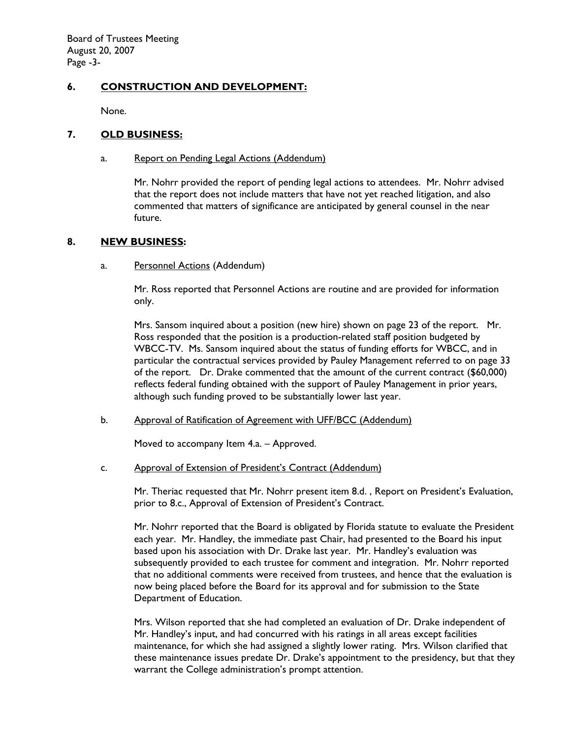Board of Trustees Meeting August 20, 2007 Page -3-

# **6. CONSTRUCTION AND DEVELOPMENT:**

None.

# **7. OLD BUSINESS:**

## a. Report on Pending Legal Actions (Addendum)

Mr. Nohrr provided the report of pending legal actions to attendees. Mr. Nohrr advised that the report does not include matters that have not yet reached litigation, and also commented that matters of significance are anticipated by general counsel in the near future.

#### **8. NEW BUSINESS:**

#### a. Personnel Actions (Addendum)

Mr. Ross reported that Personnel Actions are routine and are provided for information only.

Mrs. Sansom inquired about a position (new hire) shown on page 23 of the report. Mr. Ross responded that the position is a production-related staff position budgeted by WBCC-TV. Ms. Sansom inquired about the status of funding efforts for WBCC, and in particular the contractual services provided by Pauley Management referred to on page 33 of the report. Dr. Drake commented that the amount of the current contract (\$60,000) reflects federal funding obtained with the support of Pauley Management in prior years, although such funding proved to be substantially lower last year.

## b. Approval of Ratification of Agreement with UFF/BCC (Addendum)

Moved to accompany Item 4.a. – Approved.

## c. Approval of Extension of President's Contract (Addendum)

Mr. Theriac requested that Mr. Nohrr present item 8.d. , Report on President's Evaluation, prior to 8.c., Approval of Extension of President's Contract.

Mr. Nohrr reported that the Board is obligated by Florida statute to evaluate the President each year. Mr. Handley, the immediate past Chair, had presented to the Board his input based upon his association with Dr. Drake last year. Mr. Handley's evaluation was subsequently provided to each trustee for comment and integration. Mr. Nohrr reported that no additional comments were received from trustees, and hence that the evaluation is now being placed before the Board for its approval and for submission to the State Department of Education.

Mrs. Wilson reported that she had completed an evaluation of Dr. Drake independent of Mr. Handley's input, and had concurred with his ratings in all areas except facilities maintenance, for which she had assigned a slightly lower rating. Mrs. Wilson clarified that these maintenance issues predate Dr. Drake's appointment to the presidency, but that they warrant the College administration's prompt attention.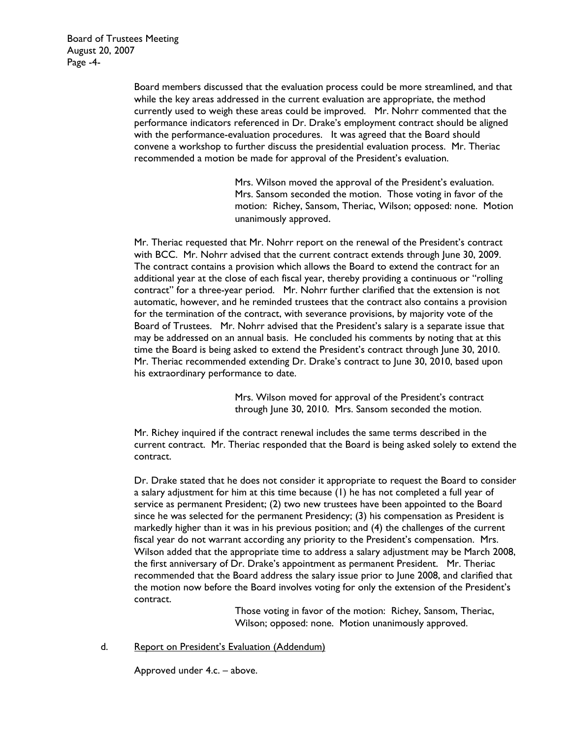Board of Trustees Meeting August 20, 2007 Page -4-

> Board members discussed that the evaluation process could be more streamlined, and that while the key areas addressed in the current evaluation are appropriate, the method currently used to weigh these areas could be improved. Mr. Nohrr commented that the performance indicators referenced in Dr. Drake's employment contract should be aligned with the performance-evaluation procedures. It was agreed that the Board should convene a workshop to further discuss the presidential evaluation process. Mr. Theriac recommended a motion be made for approval of the President's evaluation.

> > Mrs. Wilson moved the approval of the President's evaluation. Mrs. Sansom seconded the motion. Those voting in favor of the motion: Richey, Sansom, Theriac, Wilson; opposed: none. Motion unanimously approved.

Mr. Theriac requested that Mr. Nohrr report on the renewal of the President's contract with BCC. Mr. Nohrr advised that the current contract extends through June 30, 2009. The contract contains a provision which allows the Board to extend the contract for an additional year at the close of each fiscal year, thereby providing a continuous or "rolling contract" for a three-year period. Mr. Nohrr further clarified that the extension is not automatic, however, and he reminded trustees that the contract also contains a provision for the termination of the contract, with severance provisions, by majority vote of the Board of Trustees. Mr. Nohrr advised that the President's salary is a separate issue that may be addressed on an annual basis. He concluded his comments by noting that at this time the Board is being asked to extend the President's contract through June 30, 2010. Mr. Theriac recommended extending Dr. Drake's contract to June 30, 2010, based upon his extraordinary performance to date.

> Mrs. Wilson moved for approval of the President's contract through June 30, 2010. Mrs. Sansom seconded the motion.

Mr. Richey inquired if the contract renewal includes the same terms described in the current contract. Mr. Theriac responded that the Board is being asked solely to extend the contract.

Dr. Drake stated that he does not consider it appropriate to request the Board to consider a salary adjustment for him at this time because (1) he has not completed a full year of service as permanent President; (2) two new trustees have been appointed to the Board since he was selected for the permanent Presidency; (3) his compensation as President is markedly higher than it was in his previous position; and (4) the challenges of the current fiscal year do not warrant according any priority to the President's compensation. Mrs. Wilson added that the appropriate time to address a salary adjustment may be March 2008, the first anniversary of Dr. Drake's appointment as permanent President. Mr. Theriac recommended that the Board address the salary issue prior to June 2008, and clarified that the motion now before the Board involves voting for only the extension of the President's contract.

> Those voting in favor of the motion: Richey, Sansom, Theriac, Wilson; opposed: none. Motion unanimously approved.

d. Report on President's Evaluation (Addendum)

Approved under 4.c. – above.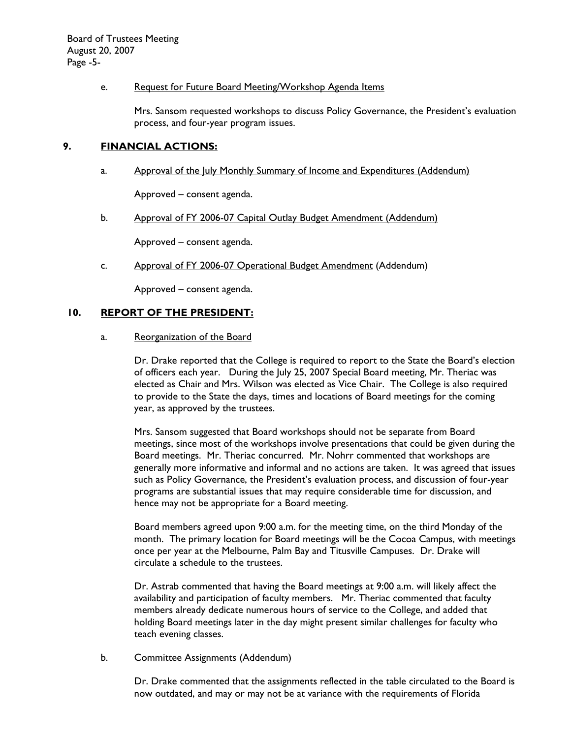## e. Request for Future Board Meeting/Workshop Agenda Items

Mrs. Sansom requested workshops to discuss Policy Governance, the President's evaluation process, and four-year program issues.

# **9. FINANCIAL ACTIONS:**

a. Approval of the July Monthly Summary of Income and Expenditures (Addendum)

Approved – consent agenda.

b. Approval of FY 2006-07 Capital Outlay Budget Amendment (Addendum)

Approved – consent agenda.

c. Approval of FY 2006-07 Operational Budget Amendment (Addendum)

Approved – consent agenda.

# **10. REPORT OF THE PRESIDENT:**

#### a. Reorganization of the Board

Dr. Drake reported that the College is required to report to the State the Board's election of officers each year. During the July 25, 2007 Special Board meeting, Mr. Theriac was elected as Chair and Mrs. Wilson was elected as Vice Chair. The College is also required to provide to the State the days, times and locations of Board meetings for the coming year, as approved by the trustees.

Mrs. Sansom suggested that Board workshops should not be separate from Board meetings, since most of the workshops involve presentations that could be given during the Board meetings. Mr. Theriac concurred. Mr. Nohrr commented that workshops are generally more informative and informal and no actions are taken. It was agreed that issues such as Policy Governance, the President's evaluation process, and discussion of four-year programs are substantial issues that may require considerable time for discussion, and hence may not be appropriate for a Board meeting.

Board members agreed upon 9:00 a.m. for the meeting time, on the third Monday of the month. The primary location for Board meetings will be the Cocoa Campus, with meetings once per year at the Melbourne, Palm Bay and Titusville Campuses. Dr. Drake will circulate a schedule to the trustees.

Dr. Astrab commented that having the Board meetings at 9:00 a.m. will likely affect the availability and participation of faculty members. Mr. Theriac commented that faculty members already dedicate numerous hours of service to the College, and added that holding Board meetings later in the day might present similar challenges for faculty who teach evening classes.

## b. Committee Assignments (Addendum)

Dr. Drake commented that the assignments reflected in the table circulated to the Board is now outdated, and may or may not be at variance with the requirements of Florida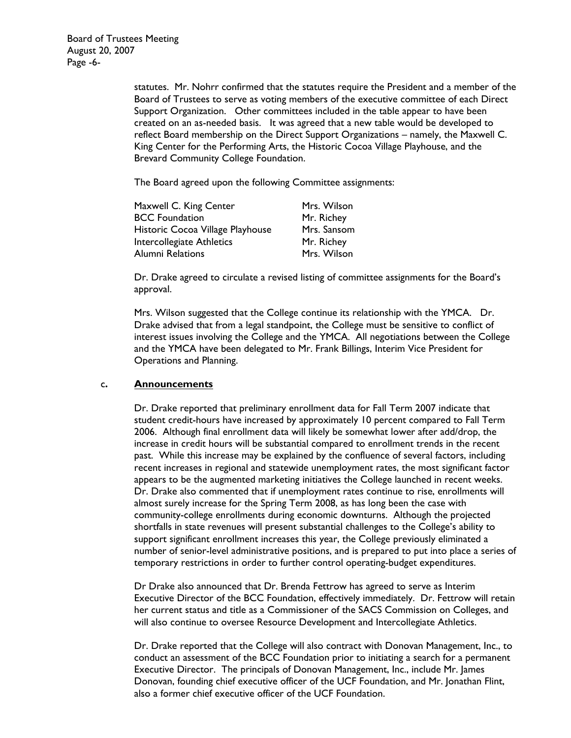statutes. Mr. Nohrr confirmed that the statutes require the President and a member of the Board of Trustees to serve as voting members of the executive committee of each Direct Support Organization. Other committees included in the table appear to have been created on an as-needed basis. It was agreed that a new table would be developed to reflect Board membership on the Direct Support Organizations – namely, the Maxwell C. King Center for the Performing Arts, the Historic Cocoa Village Playhouse, and the Brevard Community College Foundation.

The Board agreed upon the following Committee assignments:

| Maxwell C. King Center           | Mrs. Wilson |
|----------------------------------|-------------|
| <b>BCC Foundation</b>            | Mr. Richey  |
| Historic Cocoa Village Playhouse | Mrs. Sansom |
| Intercollegiate Athletics        | Mr. Richey  |
| Alumni Relations                 | Mrs. Wilson |

Dr. Drake agreed to circulate a revised listing of committee assignments for the Board's approval.

Mrs. Wilson suggested that the College continue its relationship with the YMCA. Dr. Drake advised that from a legal standpoint, the College must be sensitive to conflict of interest issues involving the College and the YMCA. All negotiations between the College and the YMCA have been delegated to Mr. Frank Billings, Interim Vice President for Operations and Planning.

## c**. Announcements**

Dr. Drake reported that preliminary enrollment data for Fall Term 2007 indicate that student credit-hours have increased by approximately 10 percent compared to Fall Term 2006. Although final enrollment data will likely be somewhat lower after add/drop, the increase in credit hours will be substantial compared to enrollment trends in the recent past. While this increase may be explained by the confluence of several factors, including recent increases in regional and statewide unemployment rates, the most significant factor appears to be the augmented marketing initiatives the College launched in recent weeks. Dr. Drake also commented that if unemployment rates continue to rise, enrollments will almost surely increase for the Spring Term 2008, as has long been the case with community-college enrollments during economic downturns. Although the projected shortfalls in state revenues will present substantial challenges to the College's ability to support significant enrollment increases this year, the College previously eliminated a number of senior-level administrative positions, and is prepared to put into place a series of temporary restrictions in order to further control operating-budget expenditures.

Dr Drake also announced that Dr. Brenda Fettrow has agreed to serve as Interim Executive Director of the BCC Foundation, effectively immediately. Dr. Fettrow will retain her current status and title as a Commissioner of the SACS Commission on Colleges, and will also continue to oversee Resource Development and Intercollegiate Athletics.

Dr. Drake reported that the College will also contract with Donovan Management, Inc., to conduct an assessment of the BCC Foundation prior to initiating a search for a permanent Executive Director. The principals of Donovan Management, Inc., include Mr. James Donovan, founding chief executive officer of the UCF Foundation, and Mr. Jonathan Flint, also a former chief executive officer of the UCF Foundation.